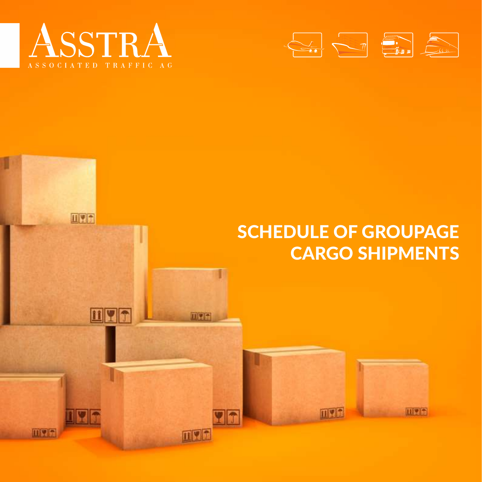

**EIVE** 

n digita

**OYT** 

**HYT** 

回望至

mvn

**Vn** 



#### SCHEDULE OF GROUPAGE CARGO SHIPMENTS

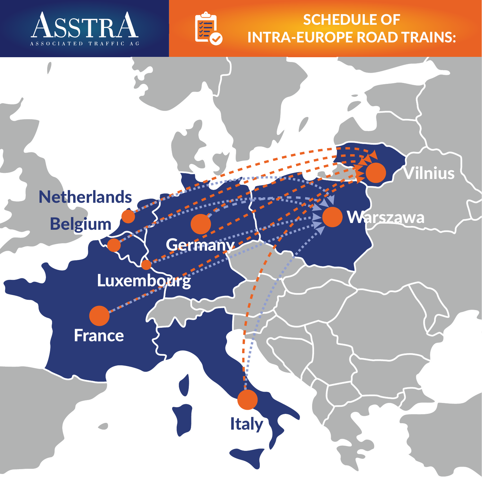



#### SCHEDULE OF INTRA-EUROPE ROAD TRAINS:

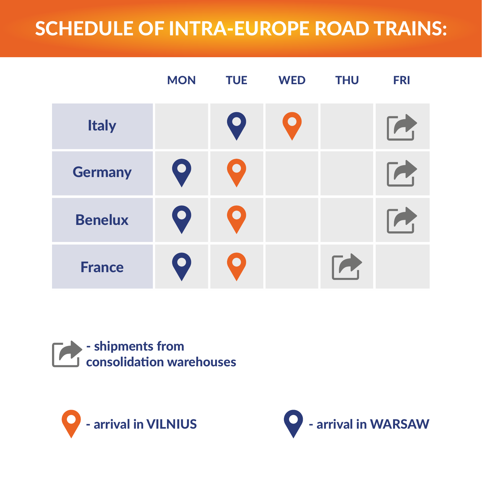### SCHEDULE OF INTRA-EUROPE ROAD TRAINS:

|                | <b>MON</b>  | <b>TUE</b>  | <b>WED</b>       | <b>THU</b> | <b>FRI</b>      |
|----------------|-------------|-------------|------------------|------------|-----------------|
| <b>Italy</b>   |             | $\bullet$   | $\boldsymbol{Q}$ |            | $\mathcal{P}_1$ |
| <b>Germany</b> | Q           | $\bullet$   |                  |            | $\mathcal{L}_1$ |
| <b>Benelux</b> | $\mathbf Q$ | $\bullet$   |                  |            |                 |
| <b>France</b>  | $\bullet$   | $\mathbf O$ |                  |            |                 |

#### - shipments from  $\sqrt{ }$ consolidation warehouses



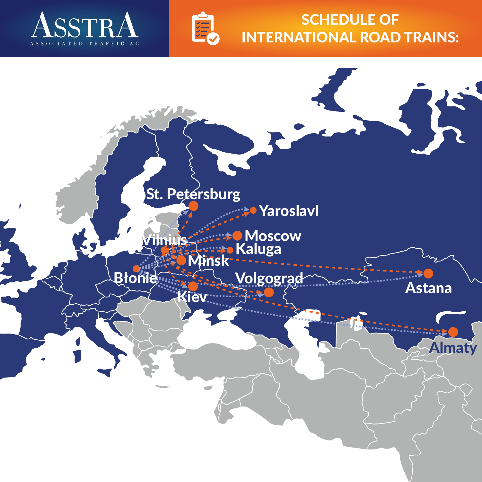



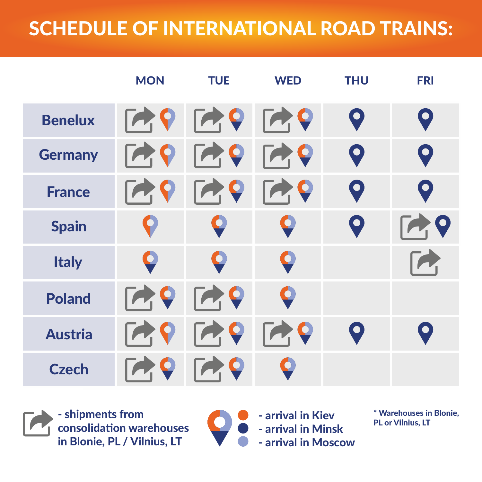|                | <b>MON</b> | <b>TUE</b>                     | <b>WED</b>     | <b>THU</b>   | <b>FRI</b>  |
|----------------|------------|--------------------------------|----------------|--------------|-------------|
| <b>Benelux</b> | $\sqrt{2}$ | $\mathsf{R}$                   | $\blacksquare$ | $\mathbf Q$  | $\mathbf Q$ |
| <b>Germany</b> |            | $\blacksquare$                 | $\blacksquare$ | $\mathbf Q$  | $\mathbf Q$ |
| <b>France</b>  |            | Q                              | $\mathbf Q$    | $\mathbf Q$  | $\mathbf Q$ |
| <b>Spain</b>   |            |                                | Q              | $\mathbf Q$  | $\mathbf Q$ |
| <b>Italy</b>   | Q          | $\bullet$                      | $\bullet$      |              |             |
| <b>Poland</b>  | $\sqrt{ }$ | $\boldsymbol{Q}$<br>$\sqrt{2}$ | Q              |              |             |
| <b>Austria</b> |            | 0                              | $\mathbf Q$    | $\mathbf{O}$ |             |
| <b>Czech</b>   |            | $\bullet$                      |                |              |             |

- shipments from consolidation warehouses in Blonie, PL / Vilnius, LT

 $\bullet$ 

- arrival in Kiev - arrival in Minsk - arrival in Moscow

\* Warehouses in Blonie, PL or Vilnius, LT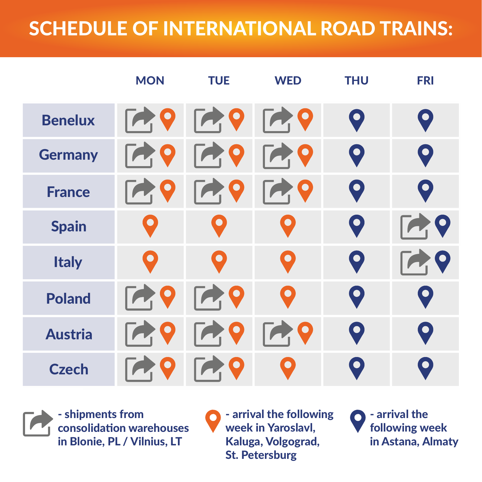|                | <b>MON</b>              | <b>TUE</b>      | <b>WED</b>                | <b>THU</b>  | <b>FRI</b>       |
|----------------|-------------------------|-----------------|---------------------------|-------------|------------------|
| <b>Benelux</b> | $\sqrt{2}$              | $\blackcap$     | $\blacksquare$            | $\mathbf Q$ | $\mathbf Q$      |
| <b>Germany</b> | $\bullet$<br>$\sqrt{2}$ | $\blacksquare$  | $\blacksquare$            | $\mathbf Q$ | $\mathbf Q$      |
| <b>France</b>  |                         | O               | $\mathbf Q$<br>$\sqrt{2}$ | $\mathbf Q$ | $\bullet$        |
| <b>Spain</b>   | O                       | $\bullet$       | $\bullet$                 | $\mathbf Q$ | $\mathbf Q$      |
| <b>Italy</b>   | O                       | $\bullet$       | $\bullet$                 | $\mathbf Q$ | $\boldsymbol{Q}$ |
| <b>Poland</b>  | $\sqrt{2}$              | $\mathbf Q$     | O                         | $\mathbf Q$ | $\bullet$        |
| <b>Austria</b> |                         | $\sqrt{2}$<br>Q | $\bullet$<br>$\sqrt{2}$   | $\mathbf Q$ |                  |
| <b>Czech</b>   |                         | $\bullet$       | $\bullet$                 |             |                  |

- shipments from consolidation warehouses in Blonie, PL / Vilnius, LT

**O** - arrival the following week in Yaroslavl, Kaluga, Volgograd, St. Petersburg

- arrival the following week in Astana, Almaty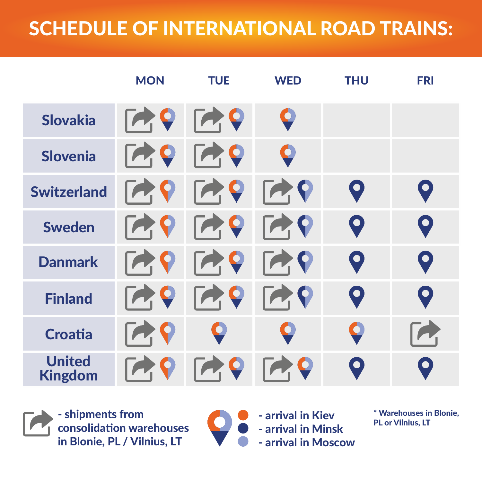|                                 | <b>MON</b>                      | <b>TUE</b>                     | <b>WED</b>                                | <b>THU</b>  | <b>FRI</b>                  |
|---------------------------------|---------------------------------|--------------------------------|-------------------------------------------|-------------|-----------------------------|
| <b>Slovakia</b>                 | $\mathcal{L}_{\mathbf{I}}$<br>Q | $\overrightarrow{P}$           | Q                                         |             |                             |
| Slovenia                        | Q<br>$\sqrt{ }$                 | $\blacksquare$                 | Q                                         |             |                             |
| <b>Switzerland</b>              |                                 | $\blacksquare$                 | $\overrightarrow{P}$                      | $\mathbf Q$ | $\mathbf Q$                 |
| <b>Sweden</b>                   | $\sqrt{ }$                      | $\boldsymbol{Q}$<br>$\sqrt{2}$ | $\blacksquare$                            | $\mathbf Q$ | $\mathbf Q$                 |
| <b>Danmark</b>                  | $\sqrt{2}$                      | $\blacksquare$                 | $\mathsf{F}\blacktriangleleft \mathsf{Q}$ | $\mathbf Q$ | $\textcolor{blue}{\bullet}$ |
| <b>Finland</b>                  |                                 | 9<br>$\sqrt{2}$                | $\blacksquare$                            | $\mathbf Q$ | O                           |
| <b>Croatia</b>                  |                                 | Q                              | Q                                         |             |                             |
| <b>United</b><br><b>Kingdom</b> |                                 |                                |                                           |             |                             |

- shipments from consolidation warehouses in Blonie, PL / Vilnius, LT

- arrival in Kiev - arrival in Minsk - arrival in Moscow

\* Warehouses in Blonie, PL or Vilnius, LT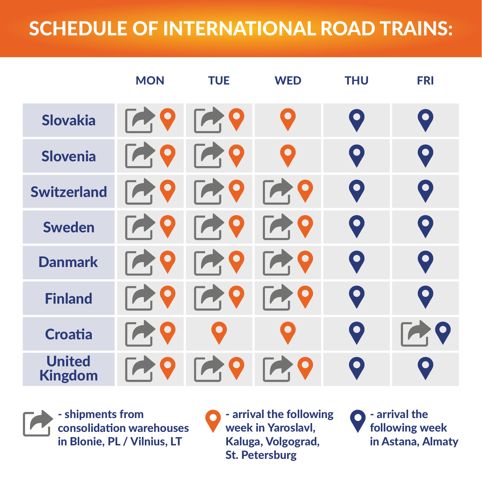|                                 | <b>MON</b>              | <b>TUE</b>                      | <b>WED</b>                               | <b>THU</b>  | <b>FRI</b>  |
|---------------------------------|-------------------------|---------------------------------|------------------------------------------|-------------|-------------|
| Slovakia                        | $\mathcal{A}$           | $\mathsf{R} \bullet \mathsf{Q}$ | O                                        | $\mathbf Q$ | $\mathbf Q$ |
| <b>Slovenia</b>                 | $\mathcal{L}$           | $\mathcal{A}$                   | O                                        | $\mathbf Q$ | $\mathbf Q$ |
| <b>Switzerland</b>              | $\sqrt{2}$<br>$\bullet$ | $\blacksquare$                  | $\blacktriangleright$                    | $\mathbf Q$ | $\mathbf Q$ |
| <b>Sweden</b>                   | $\sqrt{2}$              | <b>79</b>                       | $\blacktriangleright$                    | $\mathbf Q$ | $\mathbf Q$ |
| <b>Danmark</b>                  | $\sqrt{2}$              | <b>PR</b>                       | 729                                      | $\mathbf Q$ | $\mathbf Q$ |
| <b>Finland</b>                  | $\sqrt{2}$              | <b>PR</b>                       | $\mathsf{F}\blacktriangleleft\mathsf{Q}$ | $\mathbf Q$ | $\mathbf Q$ |
| <b>Croatia</b>                  | Q                       | $\left  \bullet \right\rangle$  | $\bullet$                                | $\mathbf Q$ |             |
| <b>United</b><br><b>Kingdom</b> |                         | $\mathbf Q$                     |                                          | $\bullet$   | $\bullet$   |



- shipments from consolidation warehouses in Blonie, PL / Vilnius, LT

- arrival the following  $\bullet$ week in Yaroslavl, Kaluga, Volgograd, St. Petersburg

- arrival the following week in Astana, Almaty